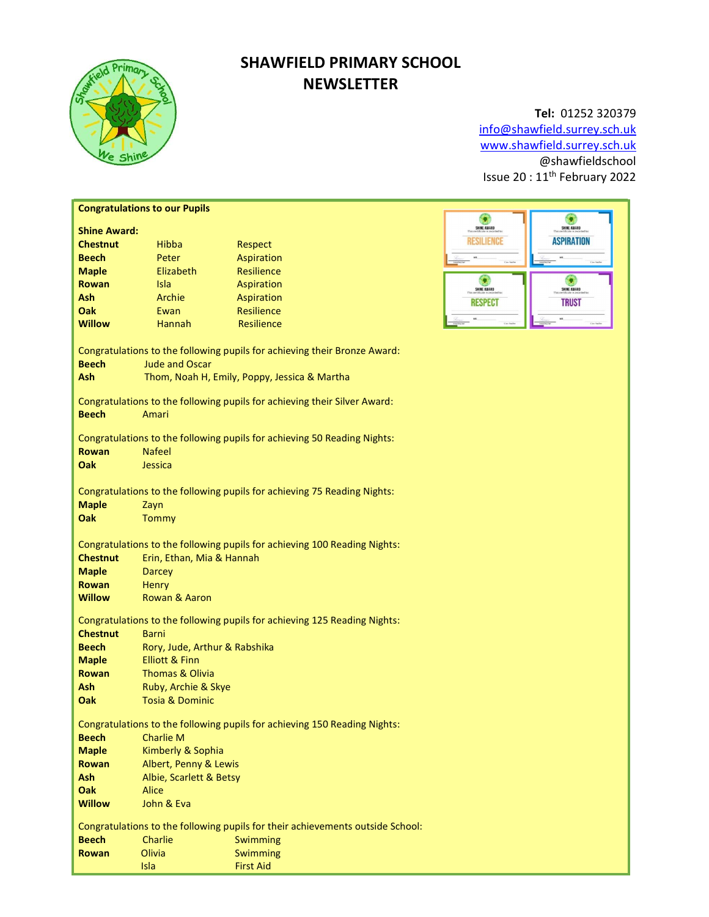

# SHAWFIELD PRIMARY SCHOOL NEWSLETTER

# Tel: 01252 320379

info@shawfield.surrey.sch.uk www.shawfield.surrey.sch.uk @shawfieldschool Issue 20 : 11th February 2022

| <b>Congratulations to our Pupils</b>                                           |                                                                           |                                                                           |                                      |  |  |  |
|--------------------------------------------------------------------------------|---------------------------------------------------------------------------|---------------------------------------------------------------------------|--------------------------------------|--|--|--|
| <b>Shine Award:</b>                                                            |                                                                           |                                                                           | G<br>G<br>SHINE AWARD<br>SHINE AWARD |  |  |  |
| <b>Chestnut</b>                                                                | Hibba                                                                     | Respect                                                                   | <b>ASPIRATION</b><br>RESILIENCE      |  |  |  |
| <b>Beech</b>                                                                   | Peter                                                                     | Aspiration                                                                |                                      |  |  |  |
| <b>Maple</b>                                                                   | Elizabeth                                                                 | <b>Resilience</b>                                                         |                                      |  |  |  |
| Rowan                                                                          | Isla                                                                      | Aspiration                                                                | ۰                                    |  |  |  |
| Ash                                                                            | Archie                                                                    |                                                                           | SHINE AWARD<br>SHINE AWARD           |  |  |  |
| Oak                                                                            | Ewan                                                                      | Aspiration<br>Resilience                                                  | <b>RESPECT</b><br><b>TRUST</b>       |  |  |  |
| <b>Willow</b>                                                                  | Hannah                                                                    | Resilience                                                                |                                      |  |  |  |
|                                                                                |                                                                           |                                                                           |                                      |  |  |  |
| Congratulations to the following pupils for achieving their Bronze Award:      |                                                                           |                                                                           |                                      |  |  |  |
| <b>Beech</b>                                                                   | <b>Jude and Oscar</b>                                                     |                                                                           |                                      |  |  |  |
| Ash                                                                            | Thom, Noah H, Emily, Poppy, Jessica & Martha                              |                                                                           |                                      |  |  |  |
|                                                                                |                                                                           |                                                                           |                                      |  |  |  |
| Congratulations to the following pupils for achieving their Silver Award:      |                                                                           |                                                                           |                                      |  |  |  |
| <b>Beech</b>                                                                   | Amari                                                                     |                                                                           |                                      |  |  |  |
|                                                                                |                                                                           |                                                                           |                                      |  |  |  |
| <b>Rowan</b>                                                                   | Congratulations to the following pupils for achieving 50 Reading Nights:  |                                                                           |                                      |  |  |  |
| Oak                                                                            | <b>Nafeel</b><br>Jessica                                                  |                                                                           |                                      |  |  |  |
|                                                                                |                                                                           |                                                                           |                                      |  |  |  |
| Congratulations to the following pupils for achieving 75 Reading Nights:       |                                                                           |                                                                           |                                      |  |  |  |
| <b>Maple</b>                                                                   | Zayn                                                                      |                                                                           |                                      |  |  |  |
| Oak                                                                            | Tommy                                                                     |                                                                           |                                      |  |  |  |
|                                                                                |                                                                           |                                                                           |                                      |  |  |  |
| Congratulations to the following pupils for achieving 100 Reading Nights:      |                                                                           |                                                                           |                                      |  |  |  |
| <b>Chestnut</b>                                                                | Erin, Ethan, Mia & Hannah                                                 |                                                                           |                                      |  |  |  |
| <b>Maple</b>                                                                   | <b>Darcey</b>                                                             |                                                                           |                                      |  |  |  |
| <b>Rowan</b>                                                                   | Henry                                                                     |                                                                           |                                      |  |  |  |
| <b>Willow</b>                                                                  | Rowan & Aaron                                                             |                                                                           |                                      |  |  |  |
|                                                                                |                                                                           |                                                                           |                                      |  |  |  |
|                                                                                | Congratulations to the following pupils for achieving 125 Reading Nights: |                                                                           |                                      |  |  |  |
| <b>Chestnut</b>                                                                | <b>Barni</b><br>Rory, Jude, Arthur & Rabshika                             |                                                                           |                                      |  |  |  |
| <b>Beech</b>                                                                   |                                                                           |                                                                           |                                      |  |  |  |
| <b>Maple</b>                                                                   | <b>Elliott &amp; Finn</b>                                                 |                                                                           |                                      |  |  |  |
| <b>Rowan</b><br>Ash                                                            | <b>Thomas &amp; Olivia</b><br>Ruby, Archie & Skye                         |                                                                           |                                      |  |  |  |
| Oak                                                                            | <b>Tosia &amp; Dominic</b>                                                |                                                                           |                                      |  |  |  |
|                                                                                |                                                                           |                                                                           |                                      |  |  |  |
|                                                                                |                                                                           | Congratulations to the following pupils for achieving 150 Reading Nights: |                                      |  |  |  |
| <b>Beech</b>                                                                   | <b>Charlie M</b>                                                          |                                                                           |                                      |  |  |  |
| <b>Maple</b>                                                                   | Kimberly & Sophia                                                         |                                                                           |                                      |  |  |  |
| <b>Rowan</b>                                                                   | Albert, Penny & Lewis                                                     |                                                                           |                                      |  |  |  |
| Ash                                                                            | Albie, Scarlett & Betsy                                                   |                                                                           |                                      |  |  |  |
| Oak                                                                            | Alice                                                                     |                                                                           |                                      |  |  |  |
| <b>Willow</b>                                                                  | John & Eva                                                                |                                                                           |                                      |  |  |  |
|                                                                                |                                                                           |                                                                           |                                      |  |  |  |
| Congratulations to the following pupils for their achievements outside School: |                                                                           |                                                                           |                                      |  |  |  |
| <b>Beech</b>                                                                   | Charlie                                                                   | Swimming                                                                  |                                      |  |  |  |
| <b>Rowan</b>                                                                   | Olivia                                                                    | Swimming                                                                  |                                      |  |  |  |
|                                                                                | Isla                                                                      | <b>First Aid</b>                                                          |                                      |  |  |  |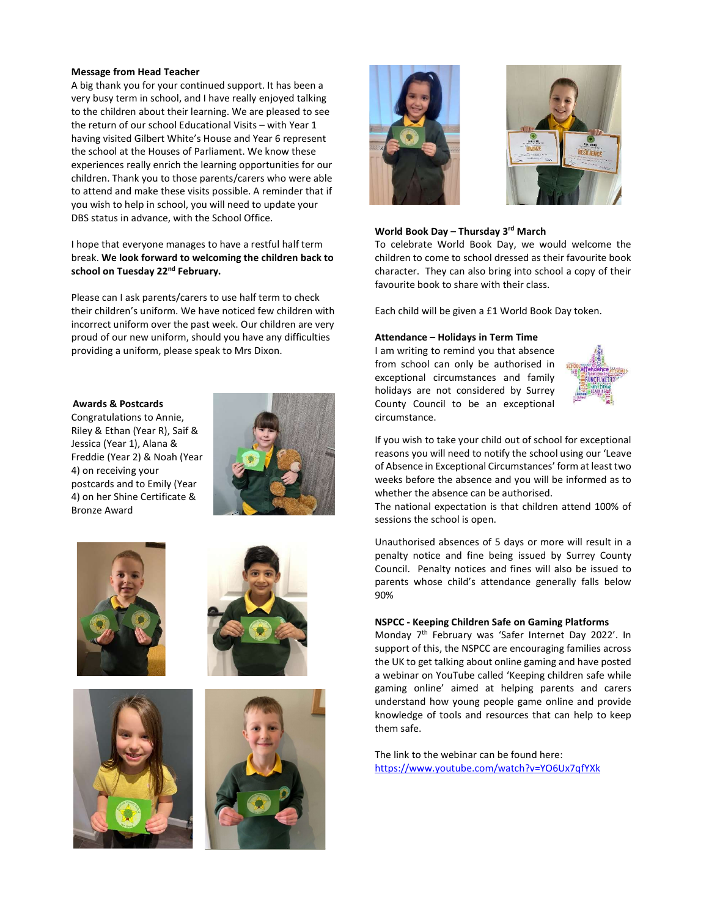#### Message from Head Teacher

A big thank you for your continued support. It has been a very busy term in school, and I have really enjoyed talking to the children about their learning. We are pleased to see the return of our school Educational Visits – with Year 1 having visited Gilbert White's House and Year 6 represent the school at the Houses of Parliament. We know these experiences really enrich the learning opportunities for our children. Thank you to those parents/carers who were able to attend and make these visits possible. A reminder that if you wish to help in school, you will need to update your DBS status in advance, with the School Office.

## I hope that everyone manages to have a restful half term break. We look forward to welcoming the children back to school on Tuesday 22<sup>nd</sup> February.

Please can I ask parents/carers to use half term to check their children's uniform. We have noticed few children with incorrect uniform over the past week. Our children are very proud of our new uniform, should you have any difficulties providing a uniform, please speak to Mrs Dixon.

#### Awards & Postcards

Congratulations to Annie, Riley & Ethan (Year R), Saif & Jessica (Year 1), Alana & Freddie (Year 2) & Noah (Year 4) on receiving your postcards and to Emily (Year 4) on her Shine Certificate & Bronze Award















#### World Book Day – Thursday 3rd March

To celebrate World Book Day, we would welcome the children to come to school dressed as their favourite book character. They can also bring into school a copy of their favourite book to share with their class.

Each child will be given a £1 World Book Day token.

#### Attendance – Holidays in Term Time

I am writing to remind you that absence from school can only be authorised in exceptional circumstances and family holidays are not considered by Surrey County Council to be an exceptional circumstance.



If you wish to take your child out of school for exceptional reasons you will need to notify the school using our 'Leave of Absence in Exceptional Circumstances' form at least two weeks before the absence and you will be informed as to whether the absence can be authorised.

The national expectation is that children attend 100% of sessions the school is open.

Unauthorised absences of 5 days or more will result in a penalty notice and fine being issued by Surrey County Council. Penalty notices and fines will also be issued to parents whose child's attendance generally falls below 90%

### NSPCC - Keeping Children Safe on Gaming Platforms

Monday 7<sup>th</sup> February was 'Safer Internet Day 2022'. In support of this, the NSPCC are encouraging families across the UK to get talking about online gaming and have posted a webinar on YouTube called 'Keeping children safe while gaming online' aimed at helping parents and carers understand how young people game online and provide knowledge of tools and resources that can help to keep them safe.

The link to the webinar can be found here: https://www.youtube.com/watch?v=YO6Ux7qfYXk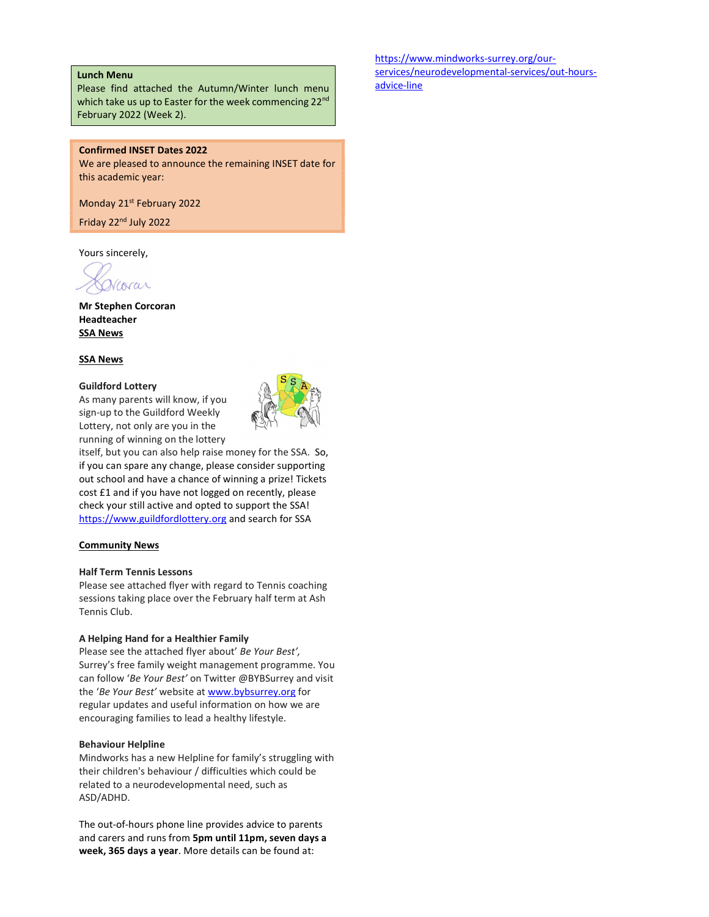#### Lunch Menu

Please find attached the Autumn/Winter lunch menu which take us up to Easter for the week commencing 22<sup>nd</sup> February 2022 (Week 2).

### Confirmed INSET Dates 2022

We are pleased to announce the remaining INSET date for this academic year:

Monday 21<sup>st</sup> February 2022

Friday 22nd July 2022

Yours sincerely,

corar

Mr Stephen Corcoran Headteacher SSA News

#### SSA News

#### Guildford Lottery

As many parents will know, if you sign-up to the Guildford Weekly Lottery, not only are you in the running of winning on the lottery



itself, but you can also help raise money for the SSA. So, if you can spare any change, please consider supporting out school and have a chance of winning a prize! Tickets cost £1 and if you have not logged on recently, please check your still active and opted to support the SSA! https://www.guildfordlottery.org and search for SSA

#### Community News

## Half Term Tennis Lessons

Please see attached flyer with regard to Tennis coaching sessions taking place over the February half term at Ash Tennis Club.

#### A Helping Hand for a Healthier Family

Please see the attached flyer about' Be Your Best', Surrey's free family weight management programme. You can follow 'Be Your Best' on Twitter @BYBSurrey and visit the 'Be Your Best' website at www.bybsurrey.org for regular updates and useful information on how we are encouraging families to lead a healthy lifestyle.

#### Behaviour Helpline

Mindworks has a new Helpline for family's struggling with their children's behaviour / difficulties which could be related to a neurodevelopmental need, such as ASD/ADHD.

The out-of-hours phone line provides advice to parents and carers and runs from 5pm until 11pm, seven days a week, 365 days a year. More details can be found at:

https://www.mindworks-surrey.org/ourservices/neurodevelopmental-services/out-hoursadvice-line